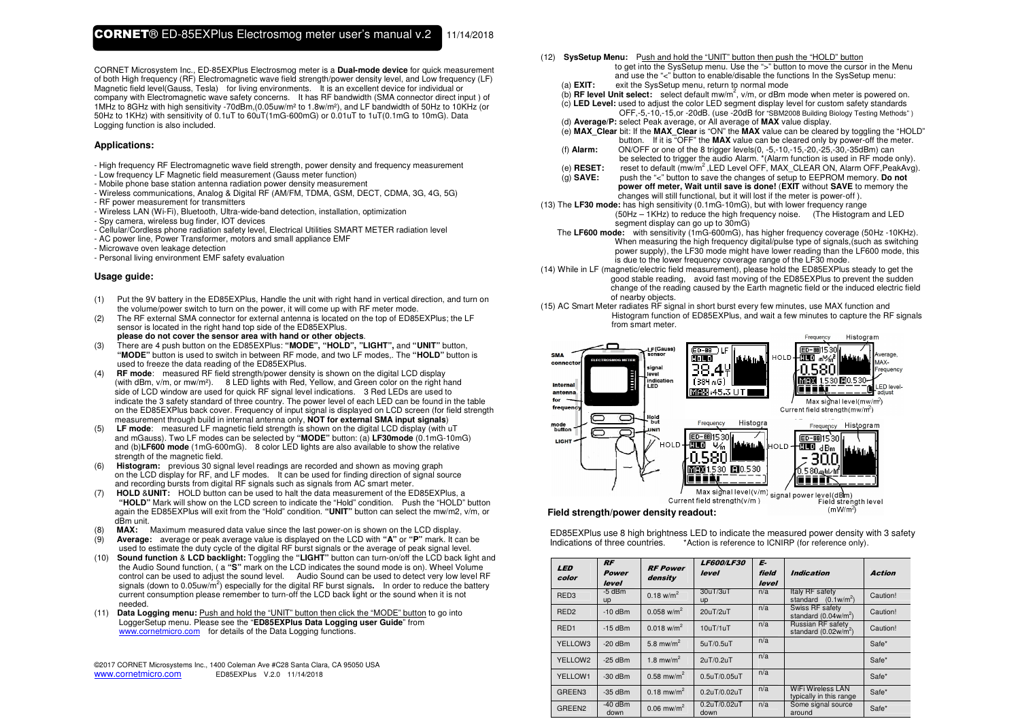CORNET Microsystem Inc., ED-85EXPlus Electrosmog meter is a **Dual-mode device** for quick measurement of both High frequency (RF) Electromagnetic wave field strength/power density level, and Low frequency (LF) Magnetic field level(Gauss, Tesla) for living environments. It is an excellent device for individual or company with Electromagnetic wave safety concerns. It has RF bandwidth (SMA connector direct input ) of 1MHz to 8GHz with high sensitivity -70dBm,(0.05uw/m² to 1.8w/m²), and LF bandwidth of 50Hz to 10KHz (or 50Hz to 1KHz) with sensitivity of 0.1uT to 60uT(1mG-600mG) or 0.01uT to 1uT(0.1mG to 10mG). Data Logging function is also included.

## **Applications:**

- High frequency RF Electromagnetic wave field strength, power density and frequency measurement

- Low frequency LF Magnetic field measurement (Gauss meter function)
- Mobile phone base station antenna radiation power density measurement
- Wireless communications, Analog & Digital RF (AM/FM, TDMA, GSM, DECT, CDMA, 3G, 4G, 5G)
- RF power measurement for transmitters
- Wireless LAN (Wi-Fi), Bluetooth, Ultra-wide-band detection, installation, optimization
- Spy camera, wireless bug finder, IOT devices
- Cellular/Cordless phone radiation safety level, Electrical Utilities SMART METER radiation level
- AC power line, Power Transformer, motors and small appliance EMF
- Microwave oven leakage detection
- Personal living environment EMF safety evaluation

## **Usage guide:**

- (1) Put the 9V battery in the ED85EXPlus, Handle the unit with right hand in vertical direction, and turn on the volume/power switch to turn on the power, it will come up with RF meter mode.
- (2) The RF external SMA connector for external antenna is located on the top of ED85EXPlus; the LF sensor is located in the right hand top side of the ED85EXPlus.
- **please do not cover the sensor area with hand or other objects**. (3) There are 4 push button on the ED85EXPlus: **"MODE", "HOLD", "LIGHT",** and **"UNIT"** button, **"MODE"** button is used to switch in between RF mode, and two LF modes,. The **"HOLD"** button is used to freeze the data reading of the ED85EXPlus.
- (4) **RF mode**: measured RF field strength/power density is shown on the digital LCD display (with dBm, v/m, or mw/m²). 8 LED lights with Red, Yellow, and Green color on the right hand side of LCD window are used for quick RF signal level indications. 3 Red LEDs are used to indicate the 3 safety standard of three country. The power level of each LED can be found in the table on the ED85EXPlus back cover. Frequency of input signal is displayed on LCD screen (for field strength measurement through build in internal antenna only, **NOT for external SMA input signals**)
- (5) **LF mode**: measured LF magnetic field strength is shown on the digital LCD display (with uT and mGauss). Two LF modes can be selected by **"MODE"** button: (a) **LF30mode** (0.1mG-10mG) and (b)**LF600 mode** (1mG-600mG). 8 color LED lights are also available to show the relative strength of the magnetic field.
- (6) **Histogram:** previous 30 signal level readings are recorded and shown as moving graph on the LCD display for RF, and LF modes. It can be used for finding direction of signal source and recording bursts from digital RF signals such as signals from AC smart meter.
- (7) **HOLD** &**UNIT:** HOLD button can be used to halt the data measurement of the ED85EXPlus, a **"HOLD"** Mark will show on the LCD screen to indicate the "Hold" condition. Push the "HOLD" button again the ED85EXPlus will exit from the "Hold" condition. **"UNIT"** button can select the mw/m2, v/m, or dBm unit.
- (8) **MAX:** Maximum measured data value since the last power-on is shown on the LCD display.
- (9) **Average:** average or peak average value is displayed on the LCD with **"A"** or **"P"** mark. It can be used to estimate the duty cycle of the digital RF burst signals or the average of peak signal level.
- (10) **Sound function** & **LCD backlight:** Toggling the **"LIGHT"** button can turn-on/off the LCD back light and the Audio Sound function, ( a **"S"** mark on the LCD indicates the sound mode is on). Wheel Volume control can be used to adjust the sound level. Audio Sound can be used to detect very low level RF signals (down to 0.05uw/m<sup>2</sup>) especially for the digital RF burst signals. In order to reduce the battery current consumption please remember to turn-off the LCD back light or the sound when it is not needed.
- (11) **Data Logging menu:** Push and hold the "UNIT" button then click the "MODE" button to go into LoggerSetup menu. Please see the "**ED85EXPlus Data Logging user Guide**" from www.cornetmicro.com for details of the Data Logging functions.

©2017 CORNET Microsystems Inc., 1400 Coleman Ave #C28 Santa Clara, CA 95050 USA www.cornetmicro.com ED85EXPlus V.2.0 11/14/2018

- (12) **SysSetup Menu:** Push and hold the "UNIT" button then push the "HOLD" button
- to get into the SysSetup menu. Use the ">" button to move the cursor in the Menu and use the "<" button to enable/disable the functions In the SysSetup menu:<br>(a) **EXIT:** exit the SysSetup menu, return to normal mode exit the SysSetup menu, return to normal mode
	-
	- (b) **RF level Unit select:** select default mw/m2, v/m, or dBm mode when meter is powered on.
	- (c) **LED Level:** used to adjust the color LED segment display level for custom safety standards OFF,-5,-10,-15,or -20dB. (use -20dB for "SBM2008 Building Biology Testing Methods" )
	- (d) **Average/P:** select Peak average, or All average of **MAX** value display.
- (e) **MAX\_Clear** bit: If the **MAX\_Clear** is "ON" the **MAX** value can be cleared by toggling the "HOLD" button. If it is "OFF" the **MAX** value can be cleared only by power-off the meter.<br>(f) **Alarm:** ON/OFF or one of the 8 trigger levels(0, -5,-10,-15,-20,-25,-30,-35dBm) can
	- (f) **Alarm:** ON/OFF or one of the 8 trigger levels(0, -5,-10,-15,-20,-25,-30,-35dBm) can be selected to trigger the audio Alarm. \*(Alarm function is used in RF mode only).
	- (e) **RESET:** reset to default (mw/m<sup>2</sup>,LED Level OFF, MAX\_CLEAR ON, Alarm OFF,PeakAvg).
	- (g) **SAVE:** push the "<" button to save the changes of setup to EEPROM memory. **Do not power off meter, Wait until save is done!** (**EXIT** without **SAVE** to memory the changes will still functional, but it will lost if the meter is power-off ).
- (13) The **LF30 mode:** has high sensitivity (0.1mG-10mG), but with lower frequency range (50Hz – 1KHz) to reduce the high frequency noise. (The Histogram and LED segment display can go up to 30mG)
- The **LF600 mode:** with sensitivity (1mG-600mG), has higher frequency coverage (50Hz -10KHz). When measuring the high frequency digital/pulse type of signals,(such as switching power supply), the LF30 mode might have lower reading than the LF600 mode, this is due to the lower frequency coverage range of the LF30 mode.
- (14) While in LF (magnetic/electric field measurement), please hold the ED85EXPlus steady to get the good stable reading, avoid fast moving of the ED85EXPlus to prevent the sudden change of the reading caused by the Earth magnetic field or the induced electric field of nearby objects.
- (15) AC Smart Meter radiates RF signal in short burst every few minutes, use MAX function and Histogram function of ED85EXPlus, and wait a few minutes to capture the RF signals from smart meter.



#### **Field strength/power density readout:**

ED85EXPlus use 8 high brightness LED to indicate the measured power density with 3 safety Indications of three countries. \* Action is reference to ICNIRP (for reference only).

| LED<br>color       | <b>RF</b><br><b>Power</b><br>level | <b>RF Power</b><br>density | <b>LF600/LF30</b><br>level | E-<br>field<br>level | <b>Indication</b>                                   | <b>Action</b> |
|--------------------|------------------------------------|----------------------------|----------------------------|----------------------|-----------------------------------------------------|---------------|
| RED <sub>3</sub>   | $-5$ dBm<br>up                     | $0.18$ w/m <sup>2</sup>    | 30uT/3uT<br>up             | n/a                  | Italy RF safety<br>standard $(0.1 w/m^2)$           | Caution!      |
| RED <sub>2</sub>   | $-10$ dBm                          | $0.058$ w/m <sup>2</sup>   | 20uT/2uT                   | n/a                  | Swiss RF safety<br>standard $(0.04w/m^2)$           | Caution!      |
| RED <sub>1</sub>   | $-15$ dBm                          | $0.018$ w/m <sup>2</sup>   | 10uT/1uT                   | n/a                  | Russian RF safety<br>standard $(0.02w/m^2)$         | Caution!      |
| YELLOW3            | $-20$ dBm                          | 5.8 mw/m <sup>2</sup>      | 5uT/0.5uT                  | n/a                  |                                                     | Safe*         |
| YELLOW2            | $-25$ dBm                          | 1.8 mw/m <sup>2</sup>      | 2uT/0.2uT                  | n/a                  |                                                     | Safe*         |
| YELLOW1            | $-30$ dBm                          | $0.58$ mw/m <sup>2</sup>   | 0.5uT/0.05uT               | n/a                  |                                                     | Safe*         |
| GREEN <sub>3</sub> | $-35$ dBm                          | $0.18$ mw/m <sup>2</sup>   | 0.2uT/0.02uT               | n/a                  | <b>WiFi Wireless LAN</b><br>typically in this range | Safe*         |
| GREEN <sub>2</sub> | $-40$ dBm<br>down                  | $0.06$ mw/m <sup>2</sup>   | 0.2uT/0.02uT<br>down       | n/a                  | Some signal source<br>around                        | Safe*         |